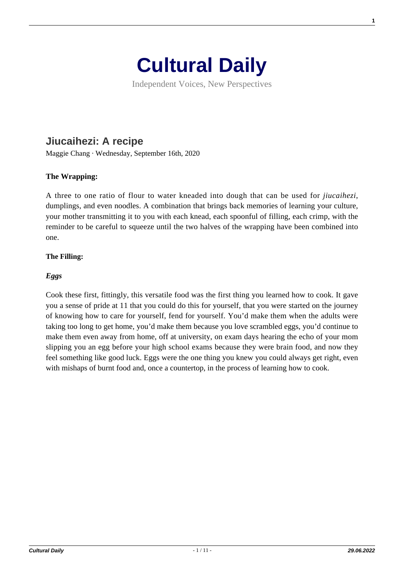

Independent Voices, New Perspectives

# **[Jiucaihezi: A recipe](https://culturaldaily.com/jiucaihezi-a-recipe/)**

Maggie Chang · Wednesday, September 16th, 2020

## **The Wrapping:**

A three to one ratio of flour to water kneaded into dough that can be used for *jiucaihezi*, dumplings, and even noodles. A combination that brings back memories of learning your culture, your mother transmitting it to you with each knead, each spoonful of filling, each crimp, with the reminder to be careful to squeeze until the two halves of the wrapping have been combined into one.

## **The Filling:**

### *Eggs*

Cook these first, fittingly, this versatile food was the first thing you learned how to cook. It gave you a sense of pride at 11 that you could do this for yourself, that you were started on the journey of knowing how to care for yourself, fend for yourself. You'd make them when the adults were taking too long to get home, you'd make them because you love scrambled eggs, you'd continue to make them even away from home, off at university, on exam days hearing the echo of your mom slipping you an egg before your high school exams because they were brain food, and now they feel something like good luck. Eggs were the one thing you knew you could always get right, even with mishaps of burnt food and, once a countertop, in the process of learning how to cook.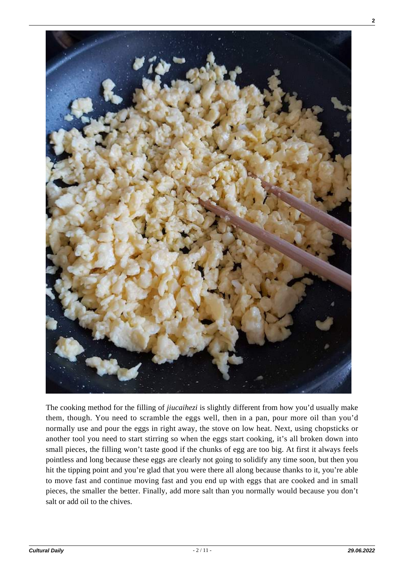

The cooking method for the filling of *jiucaihezi* is slightly different from how you'd usually make them, though. You need to scramble the eggs well, then in a pan, pour more oil than you'd normally use and pour the eggs in right away, the stove on low heat. Next, using chopsticks or another tool you need to start stirring so when the eggs start cooking, it's all broken down into small pieces, the filling won't taste good if the chunks of egg are too big. At first it always feels pointless and long because these eggs are clearly not going to solidify any time soon, but then you hit the tipping point and you're glad that you were there all along because thanks to it, you're able to move fast and continue moving fast and you end up with eggs that are cooked and in small pieces, the smaller the better. Finally, add more salt than you normally would because you don't salt or add oil to the chives.

**2**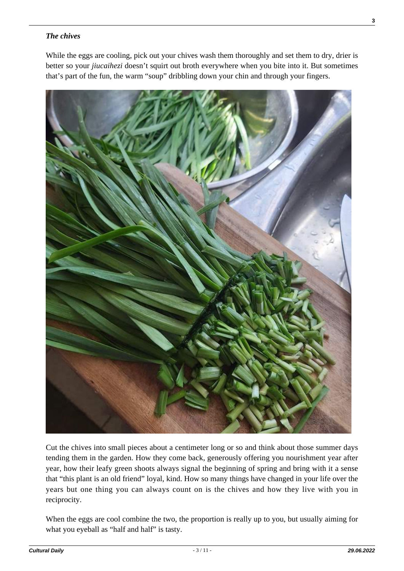## *The chives*

While the eggs are cooling, pick out your chives wash them thoroughly and set them to dry, drier is better so your *jiucaihezi* doesn't squirt out broth everywhere when you bite into it. But sometimes that's part of the fun, the warm "soup" dribbling down your chin and through your fingers.



Cut the chives into small pieces about a centimeter long or so and think about those summer days tending them in the garden. How they come back, generously offering you nourishment year after year, how their leafy green shoots always signal the beginning of spring and bring with it a sense that "this plant is an old friend" loyal, kind. How so many things have changed in your life over the years but one thing you can always count on is the chives and how they live with you in reciprocity.

When the eggs are cool combine the two, the proportion is really up to you, but usually aiming for what you eyeball as "half and half" is tasty.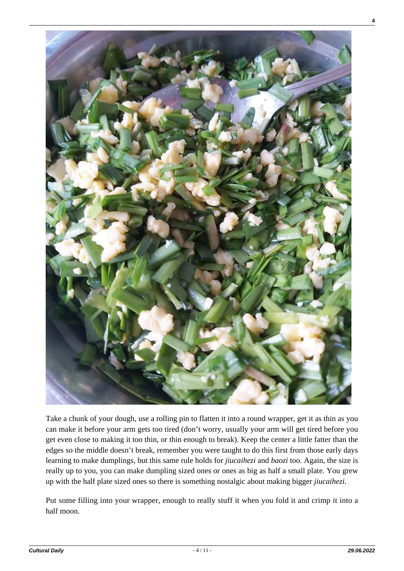

Take a chunk of your dough, use a rolling pin to flatten it into a round wrapper, get it as thin as you can make it before your arm gets too tired (don't worry, usually your arm will get tired before you get even close to making it too thin, or thin enough to break). Keep the center a little fatter than the edges so the middle doesn't break, remember you were taught to do this first from those early days learning to make dumplings, but this same rule holds for *jiucaihezi* and *baozi* too. Again, the size is really up to you, you can make dumpling sized ones or ones as big as half a small plate. You grew up with the half plate sized ones so there is something nostalgic about making bigger *jiucaihezi.*

Put some filling into your wrapper, enough to really stuff it when you fold it and crimp it into a half moon.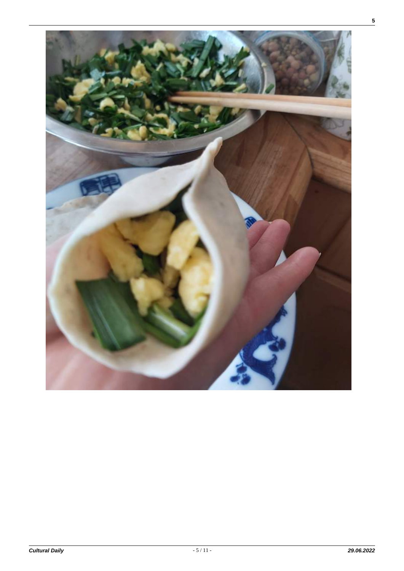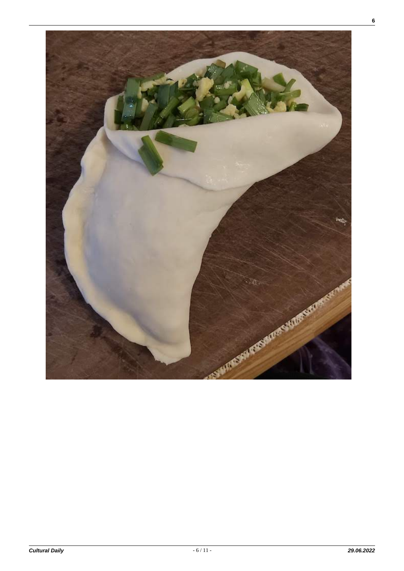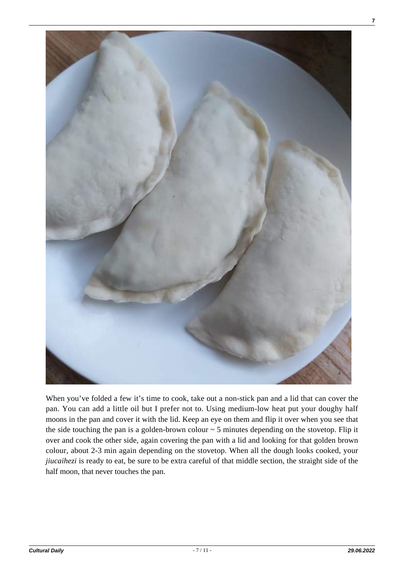

When you've folded a few it's time to cook, take out a non-stick pan and a lid that can cover the pan. You can add a little oil but I prefer not to. Using medium-low heat put your doughy half moons in the pan and cover it with the lid. Keep an eye on them and flip it over when you see that the side touching the pan is a golden-brown colour  $\sim$  5 minutes depending on the stovetop. Flip it over and cook the other side, again covering the pan with a lid and looking for that golden brown colour, about 2-3 min again depending on the stovetop. When all the dough looks cooked, your *jiucaihezi* is ready to eat, be sure to be extra careful of that middle section, the straight side of the half moon, that never touches the pan.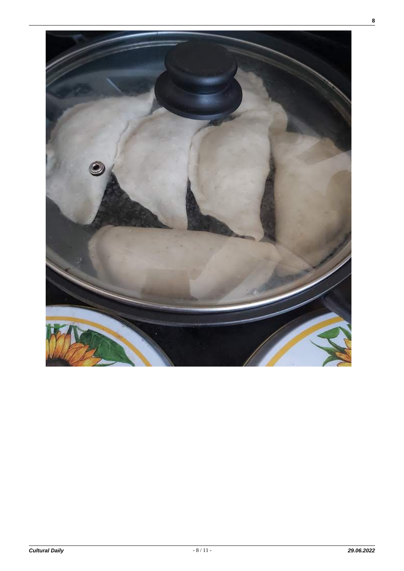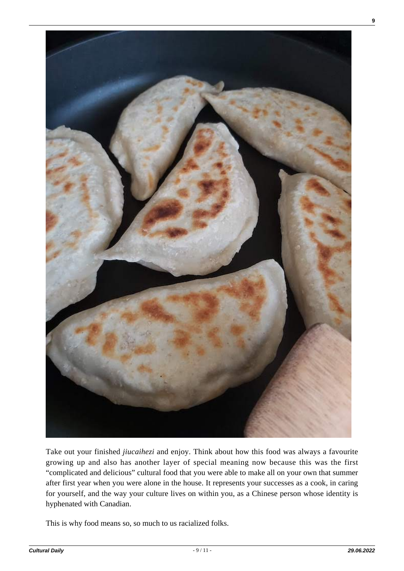

Take out your finished *jiucaihezi* and enjoy. Think about how this food was always a favourite growing up and also has another layer of special meaning now because this was the first "complicated and delicious" cultural food that you were able to make all on your own that summer after first year when you were alone in the house. It represents your successes as a cook, in caring for yourself, and the way your culture lives on within you, as a Chinese person whose identity is hyphenated with Canadian.

This is why food means so, so much to us racialized folks.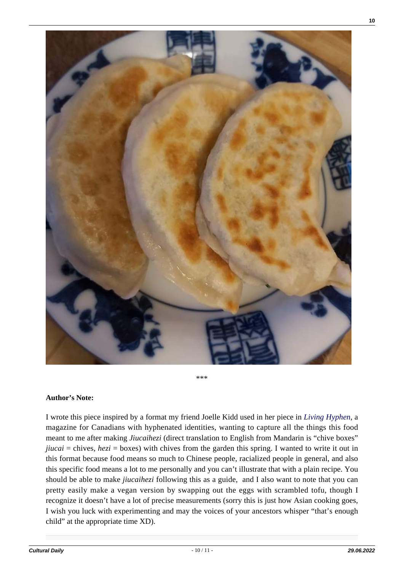

**Author's Note:**

I wrote this piece inspired by a format my friend Joelle Kidd used in her piece in *[Living Hyphen](http://livinghyphen.ca)*, a magazine for Canadians with hyphenated identities, wanting to capture all the things this food meant to me after making *Jiucaihezi* (direct translation to English from Mandarin is "chive boxes" *jiucai* = chives, *hezi* = boxes) with chives from the garden this spring. I wanted to write it out in this format because food means so much to Chinese people, racialized people in general, and also this specific food means a lot to me personally and you can't illustrate that with a plain recipe. You should be able to make *jiucaihezi* following this as a guide, and I also want to note that you can pretty easily make a vegan version by swapping out the eggs with scrambled tofu, though I recognize it doesn't have a lot of precise measurements (sorry this is just how Asian cooking goes, I wish you luck with experimenting and may the voices of your ancestors whisper "that's enough child" at the appropriate time XD).